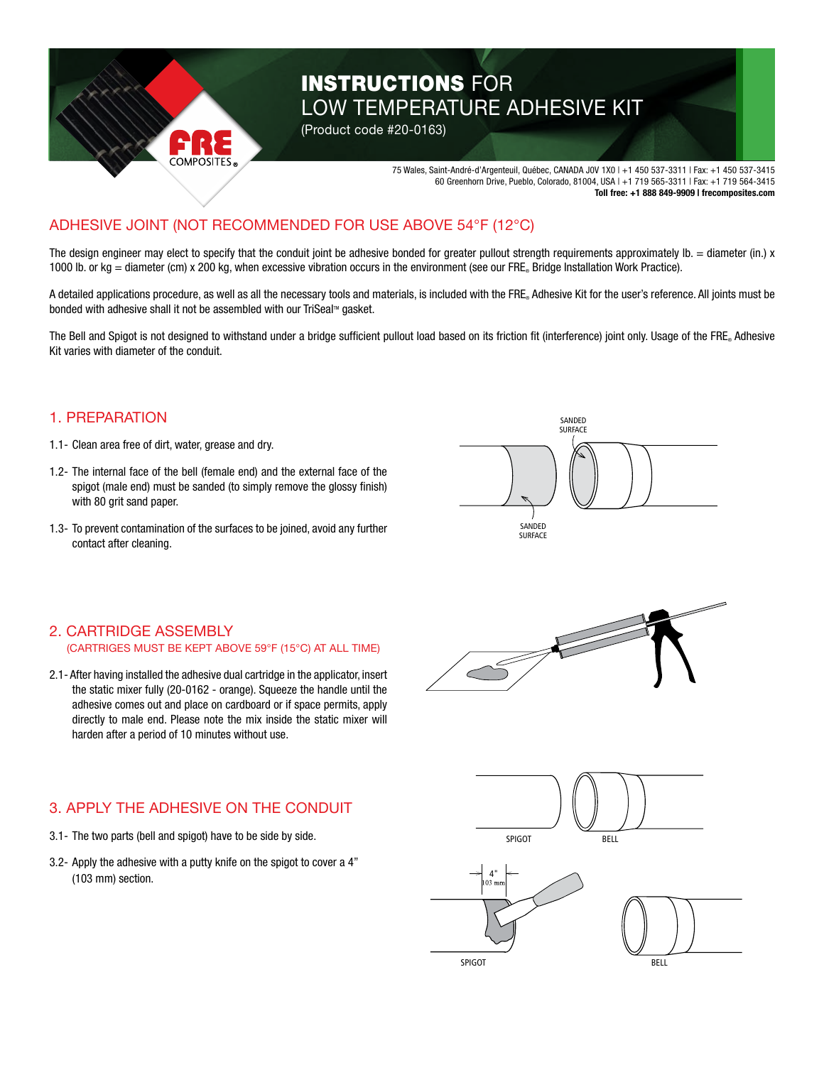

# INSTRUCTIONS FOR LOW TEMPERATURE ADHESIVE KIT

75 Wales, Saint-André-d'Argenteuil, Québec, CANADA J0V 1X0 | +1 450 537-3311 | Fax: +1 450 537-3415 60 Greenhorn Drive, Pueblo, Colorado, 81004, USA | +1 719 565-3311 | Fax: +1 719 564-3415 **Toll free: +1 888 849-9909 | frecomposites.com**

#### **IFSIVE** ADHESIVE JOINT (NOT RECOMMENDED FOR USE ABOVE 54°F (12°C)

The design engineer may elect to specify that the conduit joint be adhesive bonded for greater pullout strength requirements approximately  $Ib =$  diameter (in.) x 1000 lb. or kg = diameter (cm) x 200 kg, when excessive vibration occurs in the environment (see our FRE® Bridge Installation Work Practice).

A detailed applications procedure, as well as all the necessary tools and materials, is included with the FRE. Adhesive Kit for the user's reference. All joints must be bonded with adhesive shall it not be assembled with our TriSeal™ gasket.

The Bell and Spigot is not designed to withstand under a bridge sufficient pullout load based on its friction fit (interference) joint only. Usage of the FRE® Adhesive Kit varies with diameter of the conduit.

## 1. PREPARATION

- 1.1- Clean area free of dirt, water, grease and dry.
- 1.2- The internal face of the bell (female end) and the external face of the spigot (male end) must be sanded (to simply remove the glossy finish) with 80 grit sand paper.
- 1.3- To prevent contamination of the surfaces to be joined, avoid any further contact after cleaning.



### 2. CARTRIDGE ASSEMBLY (CARTRIGES MUST BE KEPT ABOVE 59°F (15°C) AT ALL TIME)

2.1- After having installed the adhesive dual cartridge in the applicator, insert the static mixer fully (20-0162 - orange). Squeeze the handle until the adhesive comes out and place on cardboard or if space permits, apply directly to male end. Please note the mix inside the static mixer will harden after a period of 10 minutes without use.

## 3. APPLY THE ADHESIVE ON THE CONDUIT

- 3.1- The two parts (bell and spigot) have to be side by side.
- 3.2- Apply the adhesive with a putty knife on the spigot to cover a 4" (103 mm) section.